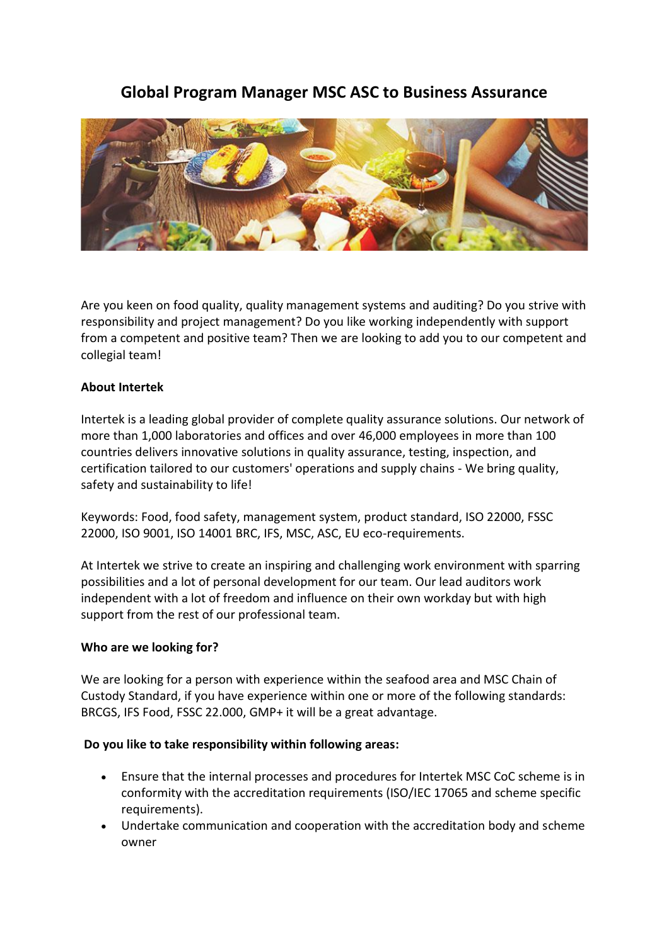# **Global Program Manager MSC ASC to Business Assurance**



Are you keen on food quality, quality management systems and auditing? Do you strive with responsibility and project management? Do you like working independently with support from a competent and positive team? Then we are looking to add you to our competent and collegial team!

## **About Intertek**

Intertek is a leading global provider of complete quality assurance solutions. Our network of more than 1,000 laboratories and offices and over 46,000 employees in more than 100 countries delivers innovative solutions in quality assurance, testing, inspection, and certification tailored to our customers' operations and supply chains - We bring quality, safety and sustainability to life!

Keywords: Food, food safety, management system, product standard, ISO 22000, FSSC 22000, ISO 9001, ISO 14001 BRC, IFS, MSC, ASC, EU eco-requirements.

At Intertek we strive to create an inspiring and challenging work environment with sparring possibilities and a lot of personal development for our team. Our lead auditors work independent with a lot of freedom and influence on their own workday but with high support from the rest of our professional team.

#### **Who are we looking for?**

We are looking for a person with experience within the seafood area and MSC Chain of Custody Standard, if you have experience within one or more of the following standards: BRCGS, IFS Food, FSSC 22.000, GMP+ it will be a great advantage.

#### **Do you like to take responsibility within following areas:**

- Ensure that the internal processes and procedures for Intertek MSC CoC scheme is in conformity with the accreditation requirements (ISO/IEC 17065 and scheme specific requirements).
- Undertake communication and cooperation with the accreditation body and scheme owner